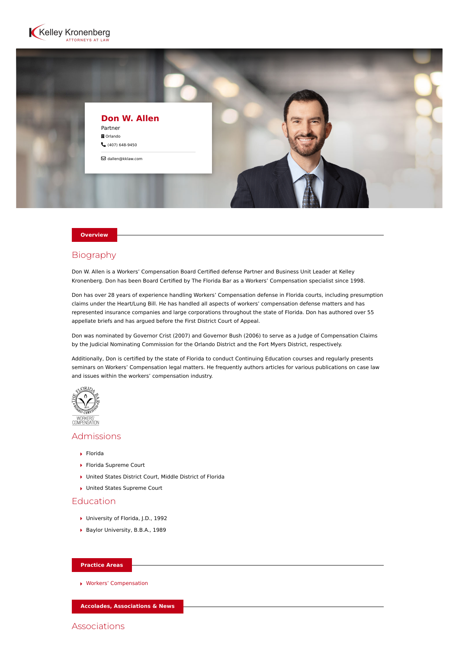



#### **Overview**

## Biography

Don W. Allen is a Workers' Compensation Board Certified defense Partner and Business Unit Leader at Kelley Kronenberg. Don has been Board Certified by The Florida Bar as a Workers' Compensation specialist since 1998.

Don has over 28 years of experience handling Workers' Compensation defense in Florida courts, including presumption claims under the Heart/Lung Bill. He has handled all aspects of workers' compensation defense matters and has represented insurance companies and large corporations throughout the state of Florida. Don has authored over 55 appellate briefs and has argued before the First District Court of Appeal.

Don was nominated by Governor Crist (2007) and Governor Bush (2006) to serve as a Judge of Compensation Claims by the Judicial Nominating Commission for the Orlando District and the Fort Myers District, respectively.

Additionally, Don is certified by the state of Florida to conduct Continuing Education courses and regularly presents seminars on Workers' Compensation legal matters. He frequently authors articles for various publications on case law and issues within the workers' compensation industry.



# Admissions

- Florida
- Florida Supreme Court
- United States District Court, Middle District of Florida
- ▶ United States Supreme Court

### Education

- ▶ University of Florida, J.D., 1992
- Baylor University, B.B.A., 1989

#### **Practice Areas**

[Workers' Compensation](https://www.kelleykronenberg.com/our-practices/workers-compensation/)

**Accolades, Associations & News**

Associations